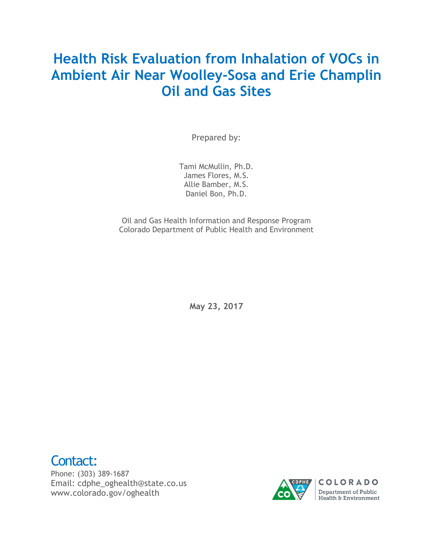# **Health Risk Evaluation from Inhalation of VOCs in Ambient Air Near Woolley-Sosa and Erie Champlin Oil and Gas Sites**

Prepared by:

Tami McMullin, Ph.D. James Flores, M.S. Allie Bamber, M.S. Daniel Bon, Ph.D.

Oil and Gas Health Information and Response Program Colorado Department of Public Health and Environment

**May 23, 2017**



Email: cdphe\_oghealth@state.co.us [www.colorado.gov/oghealth](http://www.colorado.gov/oghealth)

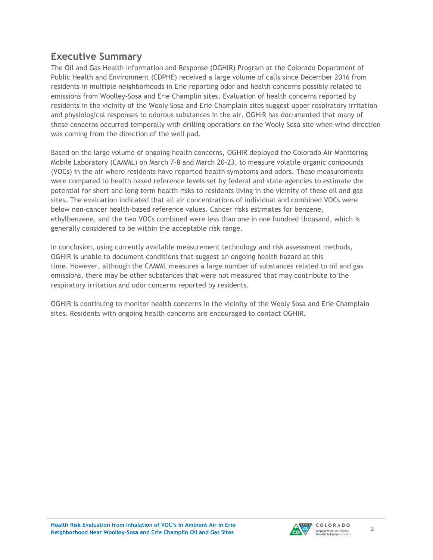# **Executive Summary**

The Oil and Gas Health Information and Response (OGHIR) Program at the Colorado Department of Public Health and Environment (CDPHE) received a large volume of calls since December 2016 from residents in multiple neighborhoods in Erie reporting odor and health concerns possibly related to emissions from Woolley-Sosa and Erie Champlin sites. Evaluation of health concerns reported by residents in the vicinity of the Wooly Sosa and Erie Champlain sites suggest upper respiratory irritation and physiological responses to odorous substances in the air. OGHIR has documented that many of these concerns occurred temporally with drilling operations on the Wooly Sosa site when wind direction was coming from the direction of the well pad.

Based on the large volume of ongoing health concerns, OGHIR deployed the Colorado Air Monitoring Mobile Laboratory (CAMML) on March 7-8 and March 20-23, to measure volatile organic compounds (VOCs) in the air where residents have reported health symptoms and odors. These measurements were compared to health based reference levels set by federal and state agencies to estimate the potential for short and long term health risks to residents living in the vicinity of these oil and gas sites. The evaluation indicated that all air concentrations of individual and combined VOCs were below non-cancer health-based reference values. Cancer risks estimates for benzene, ethylbenzene, and the two VOCs combined were less than one in one hundred thousand, which is generally considered to be within the acceptable risk range.

In conclusion, using currently available measurement technology and risk assessment methods, OGHIR is unable to document conditions that suggest an ongoing health hazard at this time. However, although the CAMML measures a large number of substances related to oil and gas emissions, there may be other substances that were not measured that may contribute to the respiratory irritation and odor concerns reported by residents.

OGHIR is continuing to monitor health concerns in the vicinity of the Wooly Sosa and Erie Champlain sites. Residents with ongoing health concerns are encouraged to contact OGHIR.

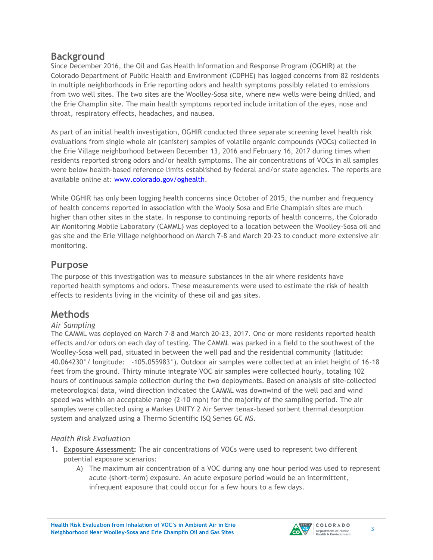### **Background**

Since December 2016, the Oil and Gas Health Information and Response Program (OGHIR) at the Colorado Department of Public Health and Environment (CDPHE) has logged concerns from 82 residents in multiple neighborhoods in Erie reporting odors and health symptoms possibly related to emissions from two well sites. The two sites are the Woolley-Sosa site, where new wells were being drilled, and the Erie Champlin site. The main health symptoms reported include irritation of the eyes, nose and throat, respiratory effects, headaches, and nausea.

As part of an initial health investigation, OGHIR conducted three separate screening level health risk evaluations from single whole air (canister) samples of volatile organic compounds (VOCs) collected in the Erie Village neighborhood between December 13, 2016 and February 16, 2017 during times when residents reported strong odors and/or health symptoms. The air concentrations of VOCs in all samples were below health-based reference limits established by federal and/or state agencies. The reports are available online at: [www.colorado.gov/oghealth.](file:///C:/Users/mvandyke/Downloads/www.colorado.gov/oghealth)

While OGHIR has only been logging health concerns since October of 2015, the number and frequency of health concerns reported in association with the Wooly Sosa and Erie Champlain sites are much higher than other sites in the state. In response to continuing reports of health concerns, the Colorado Air Monitoring Mobile Laboratory (CAMML) was deployed to a location between the Woolley-Sosa oil and gas site and the Erie Village neighborhood on March 7-8 and March 20-23 to conduct more extensive air monitoring.

# **Purpose**

The purpose of this investigation was to measure substances in the air where residents have reported health symptoms and odors. These measurements were used to estimate the risk of health effects to residents living in the vicinity of these oil and gas sites.

# **Methods**

### *Air Sampling*

The CAMML was deployed on March 7-8 and March 20-23, 2017. One or more residents reported health effects and/or odors on each day of testing. The CAMML was parked in a field to the southwest of the Woolley-Sosa well pad, situated in between the well pad and the residential community (latitude: 40.064230°/ longitude: -105.055983°). Outdoor air samples were collected at an inlet height of 16-18 feet from the ground. Thirty minute integrate VOC air samples were collected hourly, totaling 102 hours of continuous sample collection during the two deployments. Based on analysis of site-collected meteorological data, wind direction indicated the CAMML was downwind of the well pad and wind speed was within an acceptable range (2-10 mph) for the majority of the sampling period. The air samples were collected using a Markes UNITY 2 Air Server tenax-based sorbent thermal desorption system and analyzed using a Thermo Scientific ISQ Series GC MS.

### *Health Risk Evaluation*

- **1. Exposure Assessment:** The air concentrations of VOCs were used to represent two different potential exposure scenarios:
	- A) The maximum air concentration of a VOC during any one hour period was used to represent acute (short-term) exposure. An acute exposure period would be an intermittent, infrequent exposure that could occur for a few hours to a few days.

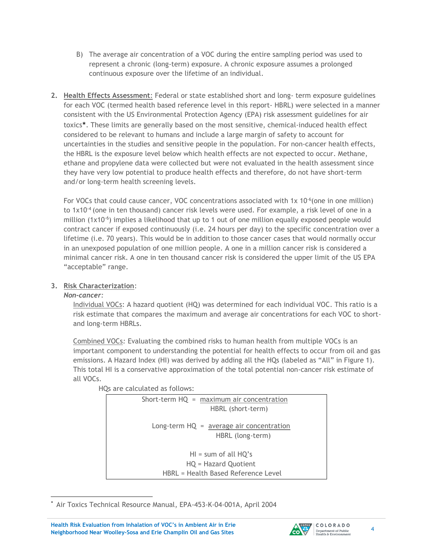- B) The average air concentration of a VOC during the entire sampling period was used to represent a chronic (long-term) exposure. A chronic exposure assumes a prolonged continuous exposure over the lifetime of an individual.
- **2. Health Effects Assessment**: Federal or state established short and long- term exposure guidelines for each VOC (termed health based reference level in this report- HBRL) were selected in a manner consistent with the US Environmental Protection Agency (EPA) risk assessment guidelines for air toxics\*. These limits are generally based on the most sensitive, chemical-induced health effect considered to be relevant to humans and include a large margin of safety to account for uncertainties in the studies and sensitive people in the population. For non-cancer health effects, the HBRL is the exposure level below which health effects are not expected to occur. Methane, ethane and propylene data were collected but were not evaluated in the health assessment since they have very low potential to produce health effects and therefore, do not have short-term and/or long-term health screening levels.

For VOCs that could cause cancer, VOC concentrations associated with  $1x$  10<sup>-6</sup> (one in one million) to 1x10<sup>-4</sup> (one in ten thousand) cancer risk levels were used. For example, a risk level of one in a million  $(1x10^{-6})$  implies a likelihood that up to 1 out of one million equally exposed people would contract cancer if exposed continuously (i.e. 24 hours per day) to the specific concentration over a lifetime (i.e. 70 years). This would be in addition to those cancer cases that would normally occur in an unexposed population of one million people. A one in a million cancer risk is considered a minimal cancer risk. A one in ten thousand cancer risk is considered the upper limit of the US EPA "acceptable" range.

#### **3. Risk Characterization**:

#### *Non-cancer:*

Individual VOCs: A hazard quotient (HQ) was determined for each individual VOC. This ratio is a risk estimate that compares the maximum and average air concentrations for each VOC to shortand long-term HBRLs.

Combined VOCs*:* Evaluating the combined risks to human health from multiple VOCs is an important component to understanding the potential for health effects to occur from oil and gas emissions. A Hazard Index (HI) was derived by adding all the HQs (labeled as "All" in Figure 1). This total HI is a conservative approximation of the total potential non-cancer risk estimate of all VOCs.

HQs are calculated as follows:

| Short-term $HQ = maximum$ air concentration<br>HBRL (short-term)                      |  |
|---------------------------------------------------------------------------------------|--|
| Long-term $HQ = average air concentration$<br>HBRL (long-term)                        |  |
| $HI = sum of all HQ's$<br>HQ = Hazard Quotient<br>HBRL = Health Based Reference Level |  |

 $\overline{\phantom{a}}$ \* Air Toxics Technical Resource Manual, EPA-453-K-04-001A, April 2004

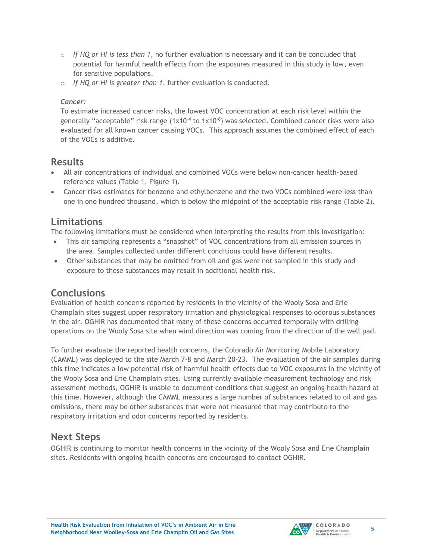- o *If HQ or HI is less than 1*, no further evaluation is necessary and it can be concluded that potential for harmful health effects from the exposures measured in this study is low, even for sensitive populations.
- o *If HQ or HI is greater than 1*, further evaluation is conducted.

#### *Cancer:*

To estimate increased cancer risks, the lowest VOC concentration at each risk level within the generally "acceptable" risk range  $(1x10^{-4}$  to  $1x10^{-6})$  was selected. Combined cancer risks were also evaluated for all known cancer causing VOCs. This approach assumes the combined effect of each of the VOCs is additive.

## **Results**

- All air concentrations of individual and combined VOCs were below non-cancer health-based reference values (Table 1, Figure 1).
- Cancer risks estimates for benzene and ethylbenzene and the two VOCs combined were less than one in one hundred thousand, which is below the midpoint of the acceptable risk range (Table 2).

## **Limitations**

The following limitations must be considered when interpreting the results from this investigation:

- This air sampling represents a "snapshot" of VOC concentrations from all emission sources in the area. Samples collected under different conditions could have different results.
- Other substances that may be emitted from oil and gas were not sampled in this study and exposure to these substances may result in additional health risk.

# **Conclusions**

Evaluation of health concerns reported by residents in the vicinity of the Wooly Sosa and Erie Champlain sites suggest upper respiratory irritation and physiological responses to odorous substances in the air. OGHIR has documented that many of these concerns occurred temporally with drilling operations on the Wooly Sosa site when wind direction was coming from the direction of the well pad.

To further evaluate the reported health concerns, the Colorado Air Monitoring Mobile Laboratory (CAMML) was deployed to the site March 7-8 and March 20-23. The evaluation of the air samples during this time indicates a low potential risk of harmful health effects due to VOC exposures in the vicinity of the Wooly Sosa and Erie Champlain sites. Using currently available measurement technology and risk assessment methods, OGHIR is unable to document conditions that suggest an ongoing health hazard at this time. However, although the CAMML measures a large number of substances related to oil and gas emissions, there may be other substances that were not measured that may contribute to the respiratory irritation and odor concerns reported by residents.

# **Next Steps**

OGHIR is continuing to monitor health concerns in the vicinity of the Wooly Sosa and Erie Champlain sites. Residents with ongoing health concerns are encouraged to contact OGHIR.

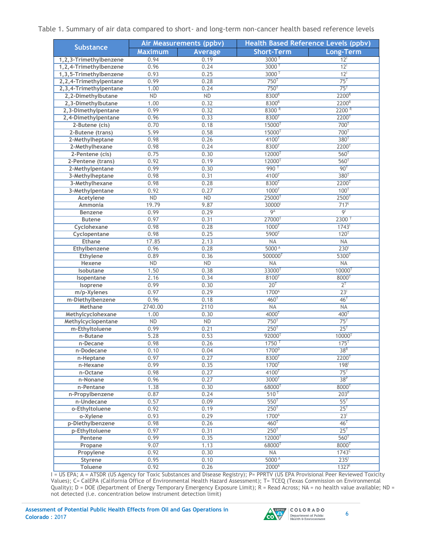#### Table 1. Summary of air data compared to short- and long-term non-cancer health based reference levels

| Substance              | Air Measurements (ppbv) |                | Health Based Reference Levels (ppbv) |                      |
|------------------------|-------------------------|----------------|--------------------------------------|----------------------|
|                        | <b>Maximum</b>          | <b>Average</b> | <b>Short-Term</b>                    | Long-Term            |
| 1,2,3-Trimethylbenzene | 0.94                    | 0.19           | 3000 <sup>T</sup>                    | 12 <sup>1</sup>      |
| 1,2,4-Trimethylbenzene | 0.96                    | 0.24           | 3000 <sup>T</sup>                    | 12 <sup>1</sup>      |
| 1,3,5-Trimethylbenzene | 0.93                    | 0.25           | 3000 <sup>T</sup>                    | 12 <sup>1</sup>      |
| 2,2,4-Trimethylpentane | 0.99                    | 0.28           | 750 <sup>T</sup>                     | 75 <sup>T</sup>      |
| 2,3,4-Trimethylpentane | 1.00                    | 0.24           | 750 <sup>T</sup>                     | 75 <sup>T</sup>      |
| 2,2-Dimethylbutane     | ND                      | ND             | 8300R                                | 2200R                |
| 2,3-Dimethylbutane     | 1.00                    | 0.32           | 8300R                                | 2200R                |
| 2,3-Dimethylpentane    | 0.99                    | 0.32           | 8300R                                | 2200 <sup>R</sup>    |
| 2,4-Dimethylpentane    | 0.96                    | 0.33           | 8300 <sup>T</sup>                    | 2200 <sup>T</sup>    |
| 2-Butene (cis)         | 0.70                    | 0.18           | 15000 <sup>T</sup>                   | 700 <sup>T</sup>     |
| 2-Butene (trans)       | 5.99                    | 0.58           | 15000 <sup>T</sup>                   | 700 <sup>T</sup>     |
| 2-Methylheptane        | 0.98                    | 0.26           | 4100 <sup>T</sup>                    | 380 <sup>T</sup>     |
| 2-Methylhexane         | 0.98                    | 0.24           | 8300 <sup>T</sup>                    | 2200 <sup>T</sup>    |
| 2-Pentene (cis)        | 0.75                    | 0.30           | 12000 <sup>T</sup>                   | 560 <sup>T</sup>     |
| 2-Pentene (trans)      | 0.92                    | 0.19           | 12000 <sup>T</sup>                   | 560 <sup>T</sup>     |
| 2-Methylpentane        | 0.99                    | 0.30           | 990 <sup>T</sup>                     | 90 <sup>T</sup>      |
| 3-Methylheptane        | 0.98                    | 0.31           | 4100 <sup>T</sup>                    | 380 <sup>T</sup>     |
| 3-Methylhexane         | 0.98                    | 0.28           | 8300 <sup>T</sup>                    | $2200^{T}$           |
| 3-Methylpentane        | 0.92                    | 0.27           | 1000 <sup>T</sup>                    | 100 <sup>T</sup>     |
| Acetylene              | ND                      | ND             | 25000 <sup>T</sup>                   | 2500 <sup>T</sup>    |
| <b>Ammonia</b>         | 19.79                   | 9.87           | 30000 <sup>1</sup>                   | 717                  |
| <b>Benzene</b>         | 0.99                    | 0.29           | 9 <sup>A</sup>                       | $\overline{9}$       |
| <b>Butene</b>          | 0.97                    | 0.31           | 27000 <sup>T</sup>                   | 2300 <sup>T</sup>    |
| Cyclohexane            | 0.98                    | 0.28           | 1000 <sup>T</sup>                    | 1743                 |
| Cyclopentane           | 0.98                    | 0.25           | 5900 <sup>T</sup>                    | 120 <sup>T</sup>     |
| Ethane                 | 17.85                   | 2.13           | NA                                   | <b>NA</b>            |
| Ethylbenzene           | 0.96                    | 0.28           | 5000A                                | 230 <sup>1</sup>     |
| Ethylene               | 0.89                    | 0.36           | 500000 <sup>T</sup>                  | 5300 <sup>T</sup>    |
| Hexene                 | ND                      | ND             | <b>NA</b>                            | NA                   |
| <b>Isobutane</b>       | 1.50                    | 0.38           | 33000 <sup>T</sup>                   | $10000$ <sup>T</sup> |
| Isopentane             | 2.16                    | 0.34           | 8100 <sup>T</sup>                    | 8000 <sup>T</sup>    |
| Isoprene               | 0.99                    | 0.30           | 20 <sup>T</sup>                      | $2^{T}$              |
| m/p-Xylenes            | 0.97                    | 0.29           | 1700 <sup>A</sup>                    | 23 <sup>1</sup>      |
| m-Diethylbenzene       | 0.96                    | 0.18           | 460 <sup>T</sup>                     | 46 <sup>T</sup>      |
| Methane                | 2740.00                 | 2110           | NA                                   | <b>NA</b>            |
| Methylcyclohexane      | 1.00                    | 0.30           | 4000 <sup>T</sup>                    | 400 <sup>T</sup>     |
| Methylcyclopentane     | ND                      | ND             | 750 <sup>T</sup>                     | 75 <sup>T</sup>      |
| m-Ethyltoluene         | 0.99                    | 0.21           | 250 <sup>T</sup>                     | 25 <sup>T</sup>      |
| n-Butane               | 5.28                    | 0.53           | 92000 <sup>T</sup>                   | 10000 <sup>T</sup>   |
| n-Decane               | 0.98                    | 0.26           | 1750 <sup>T</sup>                    | $175$ <sup>T</sup>   |
| n-Dodecane             | 0.10                    | 0.04           | 1700 <sup>p</sup>                    | 38 <sup>R</sup>      |
| n-Heptane              | 0.97                    | 0.27           | 8300 <sup>T</sup>                    | $2200^{\mathrm{T}}$  |
| n-Hexane               | 0.99                    | 0.35           | 1700 <sup>T</sup>                    | 198 <sup>1</sup>     |
| n-Octane               | 0.98                    | 0.27           | 4100 <sup>T</sup>                    | 75 <sup>T</sup>      |
| n-Nonane               | 0.96                    | 0.27           | 3000 <sup>T</sup>                    | 38 <sup>P</sup>      |
| n-Pentane              | 1.38                    | 0.30           | 68000 <sup>T</sup>                   | 8000 <sup>T</sup>    |
| n-Propylbenzene        | 0.87                    | 0.24           | 510 <sup>T</sup>                     | 203 <sup>p</sup>     |
| n-Undecane             | 0.57                    | 0.09           | 550 <sup>T</sup>                     | $55^T$               |
| o-Ethyltoluene         | 0.92                    | 0.19           | 250 <sup>T</sup>                     | 25 <sup>T</sup>      |
| o-Xylene               | 0.93                    | 0.29           | 1700 <sup>A</sup>                    | 23 <sup>1</sup>      |
| p-Diethylbenzene       | 0.98                    | 0.26           | 460 <sup>T</sup>                     | 46 <sup>T</sup>      |
| p-Ethyltoluene         | 0.97                    | 0.31           | 250 <sup>T</sup>                     | 25 <sup>T</sup>      |
| Pentene                | 0.99                    | 0.35           | 12000 <sup>T</sup>                   | 560 <sup>T</sup>     |
| Propane                | 9.07                    | 1.13           | $68000^{T}$                          | 8000 <sup>T</sup>    |
| Propylene              | 0.92                    | 0.30           | NA                                   | 1743 <sup>c</sup>    |
| Styrene                | 0.95                    | 0.10           | 5000 <sup>A</sup>                    | 235 <sup>1</sup>     |
| <b>Toluene</b>         | 0.92                    | 0.26           | 2000 <sup>A</sup>                    | $1327$ <sup>I</sup>  |

I = US EPA; A = ATSDR (US Agency for Toxic Substances and Disease Registry); P= PPRTV (US EPA Provisional Peer Reviewed Toxicity Values); C= CalEPA (California Office of Environmental Health Hazard Assessment); T= TCEQ (Texas Commission on Environmental Quality); D = DOE (Department of Energy Temporary Emergency Exposure Limit); R = Read Across; NA = no health value available; ND = not detected (i.e. concentration below instrument detection limit)